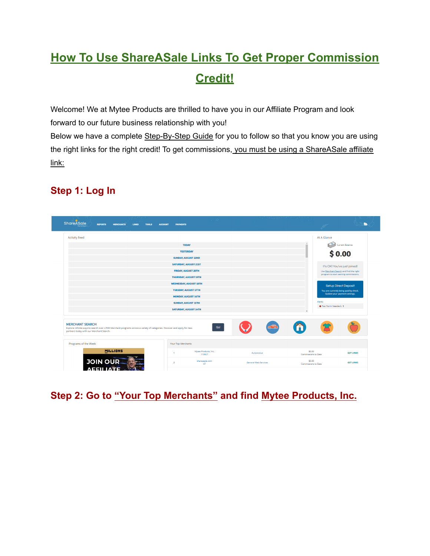# **How To Use ShareASale Links To Get Proper Commission Credit!**

Welcome! We at Mytee Products are thrilled to have you in our Affiliate Program and look forward to our future business relationship with you!

Below we have a complete Step-By-Step Guide for you to follow so that you know you are using the right links for the right credit! To get commissions, you must be using a ShareASale affiliate link:

## **Step 1: Log In**

| <b>ShareASale</b><br><b>REPORTS</b><br><b>MERCHANTS</b><br><b>LINKS</b><br><b>TOOLS</b>                                                                                                       | <b>ACCOUNT</b><br><b>PAYMENTS</b>                          |                             |                                                                                 |                  |
|-----------------------------------------------------------------------------------------------------------------------------------------------------------------------------------------------|------------------------------------------------------------|-----------------------------|---------------------------------------------------------------------------------|------------------|
| <b>Activity Feed</b>                                                                                                                                                                          |                                                            |                             | At A Glance                                                                     |                  |
|                                                                                                                                                                                               |                                                            |                             | $\mathcal{A}_1$                                                                 |                  |
|                                                                                                                                                                                               | <b>TODAY</b>                                               |                             | Current Balance<br>п                                                            |                  |
|                                                                                                                                                                                               | <b>YESTERDAY</b>                                           |                             | \$0.00                                                                          |                  |
|                                                                                                                                                                                               | <b>SUNDAY, AUGUST 22ND</b>                                 |                             |                                                                                 |                  |
|                                                                                                                                                                                               | <b>SATURDAY, AUGUST 21ST</b>                               |                             | It's OK! You've just joined!                                                    |                  |
|                                                                                                                                                                                               | <b>FRIDAY, AUGUST 20TH</b><br><b>THURSDAY, AUGUST 19TH</b> |                             | Use Merchant Search and find the right<br>program to start earning commissions. |                  |
|                                                                                                                                                                                               | <b>WEDNESDAY, AUGUST 18TH</b>                              |                             |                                                                                 |                  |
|                                                                                                                                                                                               | <b>TUESDAY, AUGUST 17TH</b>                                |                             | <b>Setup Direct Deposit</b>                                                     |                  |
|                                                                                                                                                                                               | <b>MONDAY, AUGUST 16TH</b>                                 |                             | You are currently being paid by check.<br>Update your payment settings.         |                  |
|                                                                                                                                                                                               | <b>SUNDAY, AUGUST 15TH</b>                                 |                             | Alerts                                                                          |                  |
|                                                                                                                                                                                               | <b>SATURDAY, AUGUST 14TH</b>                               |                             | <b>O</b> Tax Form Needed: 1                                                     |                  |
| <b>MERCHANT SEARCH</b><br>Explore infinite ways to search over 4,500 Merchant programs across a variety of categories. Discover and apply for new<br>partners today with our Merchant Search. | Go!                                                        | ௸                           |                                                                                 |                  |
| Programs of the Week                                                                                                                                                                          | Your Top Merchants                                         |                             |                                                                                 |                  |
| <b>MILLIONS</b>                                                                                                                                                                               | Mytee Products, Inc.<br>113927                             | Automotive                  | \$0.00<br>Commissions to Date                                                   | <b>GET LINKS</b> |
| <b>JOIN OUR</b><br><b><i><u>Internet die</u></i></b>                                                                                                                                          | shareasale.com<br>$\overline{2}$<br>47                     | <b>General Web Services</b> | \$0.00<br>Commissions to Date                                                   | <b>GET LINKS</b> |

## **Step 2: Go to "Your Top Merchants" and find Mytee Products, Inc.**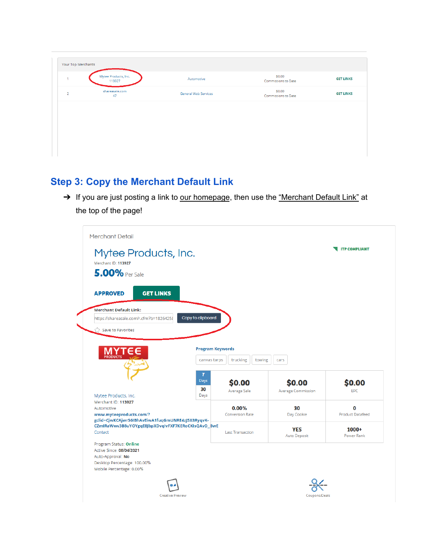| Your Top Merchants |                                |                             |                               |                  |
|--------------------|--------------------------------|-----------------------------|-------------------------------|------------------|
|                    | Mytee Products, Inc.<br>113927 | Automotive                  | \$0.00<br>Commissions to Date | <b>GET LINKS</b> |
| $\overline{2}$     | shareasale.com<br>47           | <b>General Web Services</b> | \$0.00<br>Commissions to Date | <b>GET LINKS</b> |
|                    |                                |                             |                               |                  |
|                    |                                |                             |                               |                  |
|                    |                                |                             |                               |                  |
|                    |                                |                             |                               |                  |

# **Step 3: Copy the Merchant Default Link**

→ If you are just posting a link to our homepage, then use the "Merchant Default Link" at the top of the page!

| Mytee Products, Inc.                                                                                                                                                                                                                                  |                         |                         |                           | <b>ITP COMPLIANT</b>    |
|-------------------------------------------------------------------------------------------------------------------------------------------------------------------------------------------------------------------------------------------------------|-------------------------|-------------------------|---------------------------|-------------------------|
|                                                                                                                                                                                                                                                       |                         |                         |                           |                         |
| Merchant ID: 113927                                                                                                                                                                                                                                   |                         |                         |                           |                         |
| <b>5.00%</b> Per Sale                                                                                                                                                                                                                                 |                         |                         |                           |                         |
|                                                                                                                                                                                                                                                       |                         |                         |                           |                         |
| <b>GET LINKS</b><br><b>APPROVED</b>                                                                                                                                                                                                                   |                         |                         |                           |                         |
| <b>Merchant Default Link:</b>                                                                                                                                                                                                                         |                         |                         |                           |                         |
| https://shareasale.com/r.cfm?b=1826425{                                                                                                                                                                                                               | Copy to clipboard       |                         |                           |                         |
|                                                                                                                                                                                                                                                       |                         |                         |                           |                         |
| Save to Favorites                                                                                                                                                                                                                                     |                         |                         |                           |                         |
|                                                                                                                                                                                                                                                       |                         |                         |                           |                         |
|                                                                                                                                                                                                                                                       | <b>Program Keywords</b> |                         |                           |                         |
| <b>MIY</b><br>PRODUCTS                                                                                                                                                                                                                                | canvas tarps            | trucking<br>towing      | cars                      |                         |
|                                                                                                                                                                                                                                                       |                         |                         |                           |                         |
|                                                                                                                                                                                                                                                       | 7                       |                         |                           |                         |
|                                                                                                                                                                                                                                                       |                         |                         |                           |                         |
|                                                                                                                                                                                                                                                       | Days                    |                         |                           |                         |
|                                                                                                                                                                                                                                                       | 30                      | \$0.00                  | \$0.00                    | \$0.00                  |
|                                                                                                                                                                                                                                                       | Days                    | Average Sale            | <b>Average Commission</b> | EPC                     |
|                                                                                                                                                                                                                                                       |                         |                         |                           |                         |
| Mytee Products, Inc.<br>Merchant ID: 113927<br>Automotive                                                                                                                                                                                             |                         | 0.00%                   | 30                        | 0                       |
|                                                                                                                                                                                                                                                       |                         | <b>Conversion Rate</b>  | Day Cookie                | <b>Product Datafeed</b> |
|                                                                                                                                                                                                                                                       |                         |                         |                           |                         |
|                                                                                                                                                                                                                                                       |                         | <b>Last Transaction</b> | <b>YES</b>                | $1000+$                 |
|                                                                                                                                                                                                                                                       |                         |                         | Auto Deposit              | Power Rank              |
|                                                                                                                                                                                                                                                       |                         |                         |                           |                         |
|                                                                                                                                                                                                                                                       |                         |                         |                           |                         |
| www.myteeproducts.com/?<br>gclid=CjwKCAjwr56IBhAvEiwA1fuqGmUNRE4zJ5X8RyqvK-<br>CZmIRaWwv3B8uYOYgqE8JbpXDvqIvFXF7KERoCKIsQAvD BwE<br>Contact<br>Program Status: Online<br>Active Since: 08/04/2021<br>Auto-Approval: No<br>Desktop Percentage: 100.00% |                         |                         |                           |                         |
| Mobile Percentage: 0.00%                                                                                                                                                                                                                              |                         |                         |                           |                         |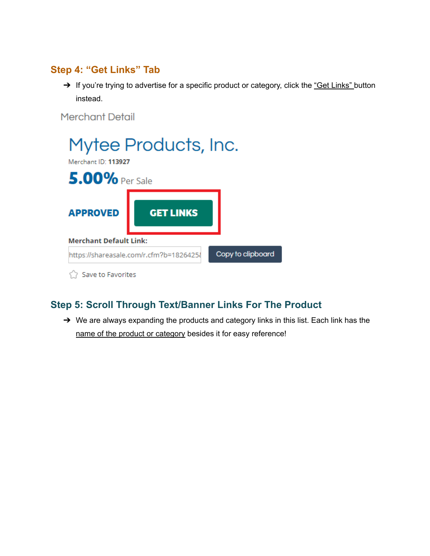### **Step 4: "Get Links" Tab**

→ If you're trying to advertise for a specific product or category, click the "Get Links" button instead.

**Merchant Detail** 



# **Step 5: Scroll Through Text/Banner Links For The Product**

➔ We are always expanding the products and category links in this list. Each link has the name of the product or category besides it for easy reference!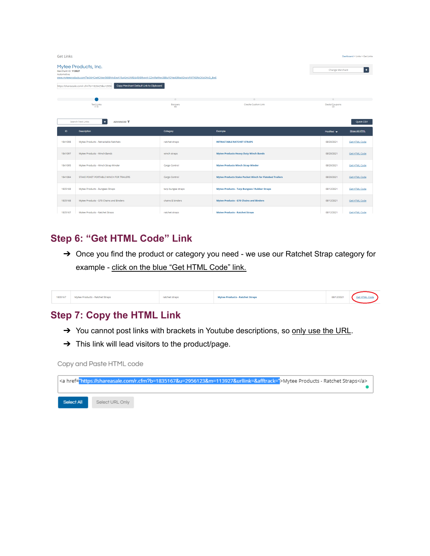| <b>Get Links</b>                                                                                                                                                                                                                                                                  |                                                    |                      |                                                                | Dashboard > Links > Get Links |                      |  |
|-----------------------------------------------------------------------------------------------------------------------------------------------------------------------------------------------------------------------------------------------------------------------------------|----------------------------------------------------|----------------------|----------------------------------------------------------------|-------------------------------|----------------------|--|
| Mytee Products, Inc.<br>Merchant ID: 113927<br>Automotive<br>www.myteeproducts.com/?gclid=CjwKCAjwr56IBhAvEiwA1fugGmUNRE4zJ5X8RygvK-CZmIRaWwv3B8uYOYggE8JbpXDvglvFXF7KERoCKIsOAvD_BwE<br>Copy Merchant Default Link to Clipboard<br>https://shareasale.com/r.cfm?b=1826425&u=2956 |                                                    |                      |                                                                | <b>Change Merchant</b>        | $\bullet$            |  |
|                                                                                                                                                                                                                                                                                   | <b>Text Links</b>                                  | <b>Banners</b>       | Create Custom Link                                             |                               |                      |  |
|                                                                                                                                                                                                                                                                                   | (13)                                               | (6)                  |                                                                | Deals/Coupons<br>(3)          |                      |  |
|                                                                                                                                                                                                                                                                                   | ٠<br><b>ADVANCED</b> ₹<br><b>Search Text Links</b> |                      |                                                                |                               | Quick CSV            |  |
| ID.                                                                                                                                                                                                                                                                               | Description                                        | Category             | Example                                                        | Modified $\blacktriangledown$ | Show All HTML        |  |
| 1841098                                                                                                                                                                                                                                                                           | Mytee Products - Retractable Ratchets              | ratchet straps       | <b>RETRACTABLE RATCHET STRAPS</b>                              | 08/20/2021                    | <b>Get HTML Code</b> |  |
| 1841097                                                                                                                                                                                                                                                                           | Mytee Products - Winch Bands                       | winch straps         | <b>Mytee Products Heavy Duty Winch Bands</b>                   | 08/20/2021                    | <b>Get HTML Code</b> |  |
| 1841095                                                                                                                                                                                                                                                                           | Mytee Products - Winch Strap Winder                | <b>Cargo Control</b> | <b>Mytee Products Winch Strap Winder</b>                       | 08/20/2021                    | <b>Get HTML Code</b> |  |
| 1841084                                                                                                                                                                                                                                                                           | STAKE POKET PORTABLE WINCH FOR TRAILERS            | Cargo Control        | <b>Mytee Products Stake Pocket Winch for Flatebed Trailers</b> | 08/20/2021                    | <b>Get HTML Code</b> |  |
| 1835169                                                                                                                                                                                                                                                                           | Mytee Products - Bungees Straps                    | tarp bungee straps   | <b>Mytee Products - Tarp Bungees / Rubber Straps</b>           | 08/12/2021                    | <b>Get HTML Code</b> |  |
| 1835168                                                                                                                                                                                                                                                                           | Mytee Products - G70 Chains and Binders            | chains & binders     | <b>Mytee Products - G70 Chains and Binders</b>                 | 08/12/2021                    | <b>Get HTML Code</b> |  |
| 1835167                                                                                                                                                                                                                                                                           | Mytee Products - Ratchet Straps                    | ratchet straps       | <b>Mytee Products - Ratchet Straps</b>                         | 08/12/2021                    | <b>Get HTML Code</b> |  |

### **Step 6: "Get HTML Code" Link**

→ Once you find the product or category you need - we use our Ratchet Strap category for example - click on the blue "Get HTML Code" link.

| 1835167 | Mytee Products - Ratchet Straps | ratchet straps | <b>Mytee Products - Ratchet Straps</b> | 08/12/2021 | <b>Get HTML Code</b> |  |
|---------|---------------------------------|----------------|----------------------------------------|------------|----------------------|--|
|         |                                 |                |                                        |            |                      |  |

#### **Step 7: Copy the HTML Link**

- → You cannot post links with brackets in Youtube descriptions, so only use the URL.
- $\rightarrow$  This link will lead visitors to the product/page.

Copy and Paste HTML code

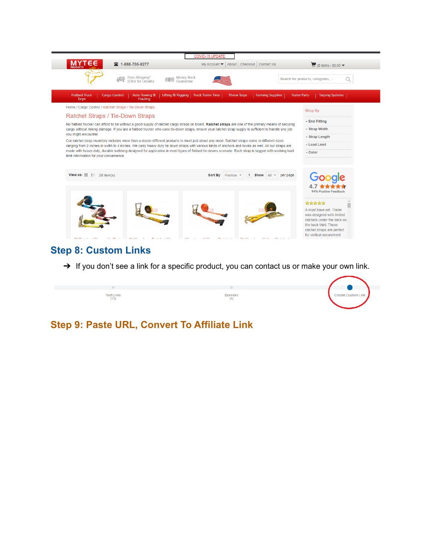

#### **Step 8: Custom Links**

→ If you don't see a link for a specific product, you can contact us or make your own link.



### **Step 9: Paste URL, Convert To Affiliate Link**